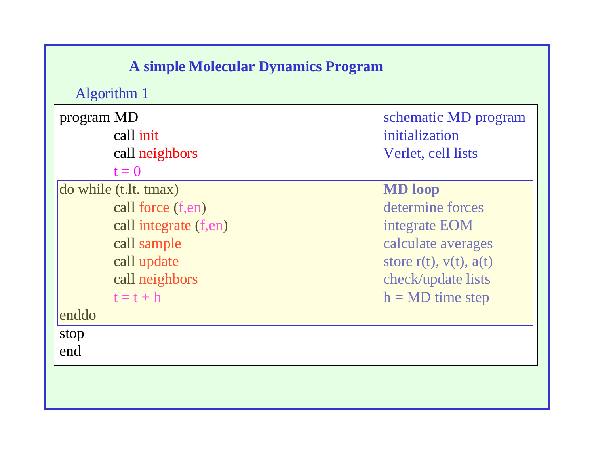## **A simple Molecular Dynamics Program**

Algorithm 1

program MD schematic MD program call initialization call neighbors Verlet, cell lists  $t = 0$ do while (t.lt. tmax) **MD loop** call force (f,en) determine forces call integrate (f,en) integrate EOM call sample calculate averages call update store r(t),  $v(t)$ ,  $a(t)$ call neighbors check/update lists  $t = t + h$  h = MD time step enddo

stop end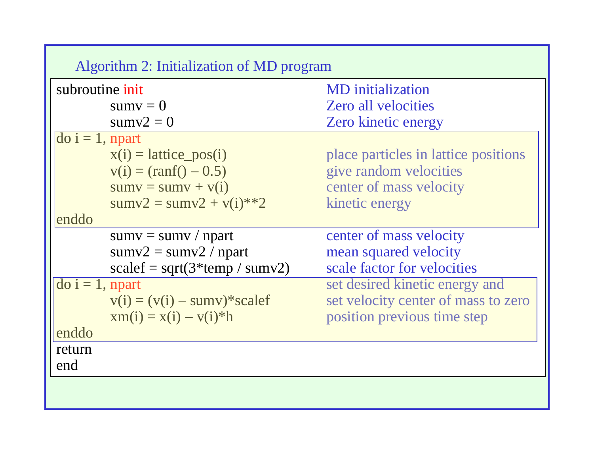| subroutine init<br><b>MD</b> initialization                          |  |
|----------------------------------------------------------------------|--|
|                                                                      |  |
| <b>Zero all velocities</b><br>$sumv = 0$                             |  |
| $sumv2 = 0$<br><b>Zero kinetic energy</b>                            |  |
| $\text{do } i = 1$ , npart                                           |  |
| place particles in lattice positions<br>$x(i) = lattice_{pos}(i)$    |  |
| $v(i) = (ranf() - 0.5)$<br>give random velocities                    |  |
| $sumv = sumv + v(i)$<br>center of mass velocity                      |  |
| $sumv2 = sumv2 + v(i)*2$<br>kinetic energy                           |  |
| enddo                                                                |  |
| center of mass velocity<br>$sumv = sumv / npart$                     |  |
| $sumv2 = sumv2 / npart$<br>mean squared velocity                     |  |
| scale factor for velocities<br>$scalef = sqrt(3*temp / sumv2)$       |  |
| set desired kinetic energy and<br>$\overline{d}$ do i = 1, npart     |  |
| set velocity center of mass to zero<br>$v(i) = (v(i) - sumv)*scalef$ |  |
| position previous time step<br>$x m(i) = x(i) - v(i)*h$              |  |
| enddo                                                                |  |
| return                                                               |  |
| end                                                                  |  |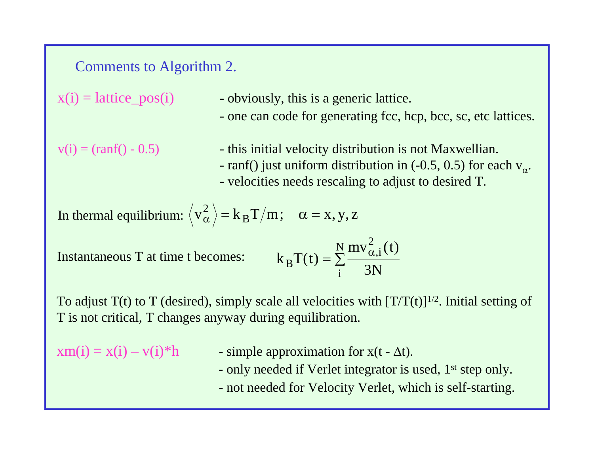#### Comments to Algorithm 2.

 $x(i) = lattice_pos(i)$  - obviously, this is a generic lattice. - one can code for generating fcc, hcp, bcc, sc, etc lattices.  $v(i) = (ranf() - 0.5)$  - this initial velocity distribution is not Maxwellian. - ranf() just uniform distribution in (-0.5, 0.5) for each  $v_{\alpha}$ .

- velocities needs rescaling to adjust to desired T.

In thermal equilibrium: 
$$
\langle v_{\alpha}^2 \rangle = k_B T/m
$$
;  $\alpha = x, y, z$ 

Instantaneous T at time t becomes:

$$
k_{B}T(t) = \sum_{i}^{N} \frac{mv_{\alpha,i}^{2}(t)}{3N}
$$

To adjust  $T(t)$  to T (desired), simply scale all velocities with  $[T/T(t)]^{1/2}$ . Initial setting of T is not critical, T changes anyway during equilibration.

- $xm(i) = x(i) v(i)*h$  simple approximation for  $x(t \Delta t)$ .
	- only needed if Verlet integrator is used, 1<sup>st</sup> step only.
	- not needed for Velocity Verlet, which is self-starting.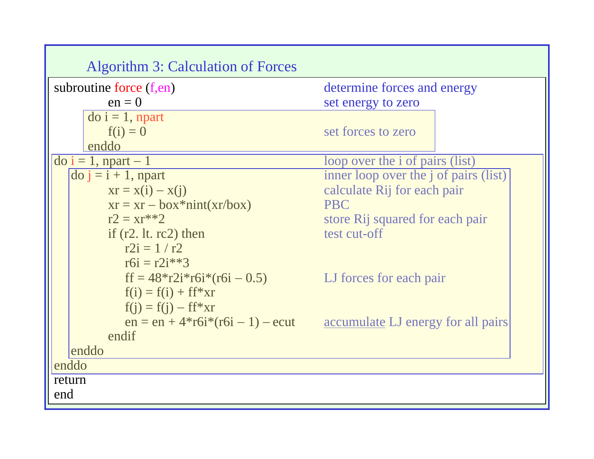| <b>Algorithm 3: Calculation of Forces</b>       |                                                                       |  |  |  |
|-------------------------------------------------|-----------------------------------------------------------------------|--|--|--|
| subroutine force $(f, en)$                      | determine forces and energy                                           |  |  |  |
| $en = 0$                                        | set energy to zero                                                    |  |  |  |
| $\overline{d}$ do i = 1, npart                  |                                                                       |  |  |  |
| $f(i) = 0$                                      | set forces to zero                                                    |  |  |  |
| enddo                                           |                                                                       |  |  |  |
| $\overline{do}$ i = 1, npart - 1                | loop over the <i>i</i> of pairs (list)                                |  |  |  |
| $\overline{a}$ do $\overline{a}$ = i + 1, npart | inner loop over the <i>j</i> of pairs (list)                          |  |  |  |
| $xr = x(i) - x(j)$                              | calculate Rij for each pair                                           |  |  |  |
| $xr = xr - box*init(xr/box)$                    | <b>PBC</b>                                                            |  |  |  |
| $r2 = xr**2$                                    | store Rij squared for each pair                                       |  |  |  |
| if $(r2. 1t. rc2)$ then                         | test cut-off                                                          |  |  |  |
| $r2i = 1/r2$                                    |                                                                       |  |  |  |
| $r6i = r2i**3$                                  |                                                                       |  |  |  |
| $ff = 48 \cdot r2i \cdot r6i \cdot (r6i - 0.5)$ | LJ forces for each pair                                               |  |  |  |
| $f(i) = f(i) + ff*xr$                           |                                                                       |  |  |  |
| $f(j) = f(j) - ff*xr$                           |                                                                       |  |  |  |
|                                                 | $en = en + 4*rdi*(r6i - 1) - ecut$ accumulate LJ energy for all pairs |  |  |  |
| endif                                           |                                                                       |  |  |  |
| enddo                                           |                                                                       |  |  |  |
| enddo                                           |                                                                       |  |  |  |
| return                                          |                                                                       |  |  |  |
| end                                             |                                                                       |  |  |  |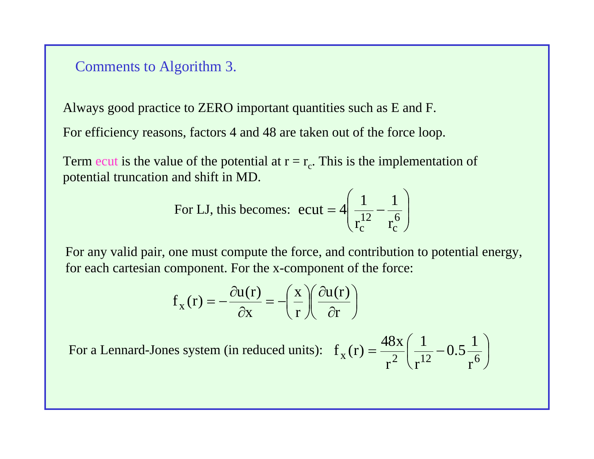#### Comments to Algorithm 3.

Always good practice to ZERO important quantities such as E and F.

For efficiency reasons, factors 4 and 48 are taken out of the force loop.

Term ecut is the value of the potential at  $r = r_c$ . This is the implementation of potential truncation and shift in MD.

For LJ, this becomes: 
$$
\text{ecut} = 4 \left( \frac{1}{r_c^{12}} - \frac{1}{r_c^6} \right)
$$

For any valid pair, one must compute the force, and contribution to potential energy, for each cartesian component. For the x-component of the force:

$$
f_x(r) = -\frac{\partial u(r)}{\partial x} = -\left(\frac{x}{r}\right)\left(\frac{\partial u(r)}{\partial r}\right)
$$

For a Lennard-Jones system (in reduced units):  $f_x(r) = \frac{48x}{r^2} \left( \frac{1}{r^{12}} - 0.5 \frac{1}{r^6} \right)$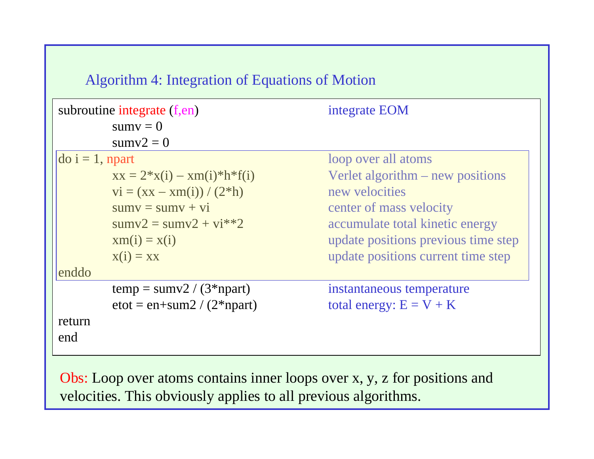## Algorithm 4: Integration of Equations of Motion

| subroutine integrate (f,en) |                                                              | integrate EOM                       |
|-----------------------------|--------------------------------------------------------------|-------------------------------------|
|                             | $sumv = 0$                                                   |                                     |
|                             | $sumv2 = 0$                                                  |                                     |
| $\vert$ do i = 1, npart     |                                                              | loop over all atoms                 |
|                             | $xx = 2*x(i) - xm(i)*h*f(i)$                                 | Verlet algorithm $-$ new positions  |
|                             | $vi = (xx - xm(i)) / (2*h)$                                  | new velocities                      |
|                             | $sumv = sumv + vi$                                           | center of mass velocity             |
|                             | $sumv2 = sumv2 + vi**2$                                      | accumulate total kinetic energy     |
|                             | $x m(i) = x(i)$                                              | update positions previous time step |
|                             | $x(i) = xx$                                                  | update positions current time step  |
| enddo                       |                                                              |                                     |
|                             | $temp = sumv2 / (3 * npart)$                                 | instantaneous temperature           |
|                             | $\text{etot} = \text{en} + \text{sum2} / (2^* \text{npart})$ | total energy: $E = V + K$           |
| return<br>end               |                                                              |                                     |

Obs: Loop over atoms contains inner loops over x, y, z for positions and velocities. This obviously applies to all previous algorithms.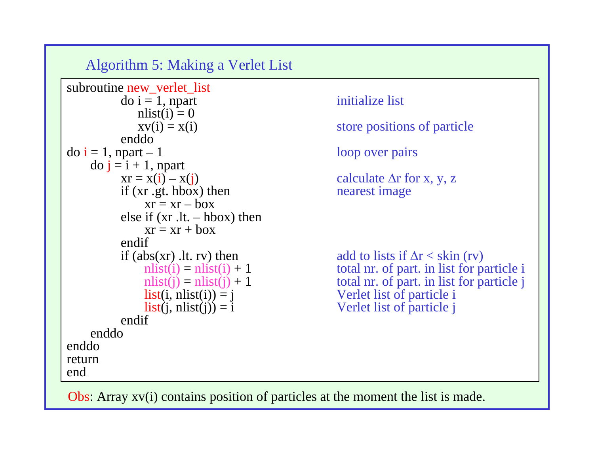Algorithm 5: Making a Verlet List

```
subroutine new_verlet_list
          \text{do } i = 1, npart initialize list
             nlist(i) = 0enddo\text{do } i = 1, \text{ npart} - 1 loop over pairs
    \overline{d} do \overline{j} = i + 1, npart
          xr = x(i) - x(j) calculate \Delta r for x, y, z
         if (xr .gt. hbox) then nearest image
              xr = xr - boxelse if (xr .lt. – hbox) then
              xr = xr + boxendifif (abs(xr) .lt. rv) then add to lists if \Delta r < skin (rv)<br>nlist(i) = nlist(i) + 1 total nr. of part. in list for p
              list(i, nlist(i)) = j Verlet list of particle i
              list(i, nlist(i)) = i Verlet list of particle j
          endifenddoenddoreturnend
```
 $xv(i) = x(i)$  store positions of particle

total nr. of part. in list for particle i  $nlist(j) = nlist(j) + 1$  total nr. of part. in list for particle j

Obs: Array xv(i) contains position of particles at the moment the list is made.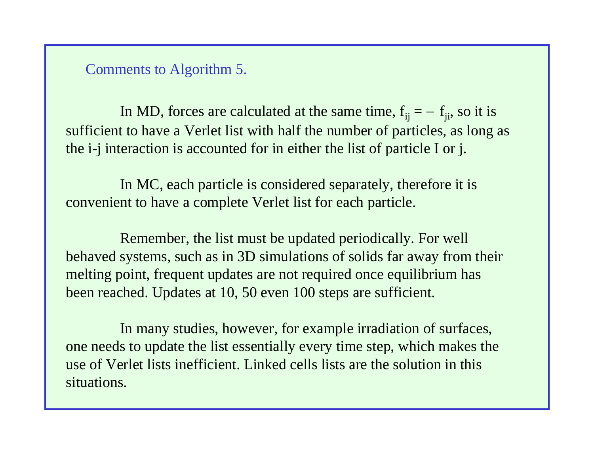Comments to Algorithm 5.

In MD, forces are calculated at the same time,  $f_{ii} = -f_{ii}$ , so it is sufficient to have a Verlet list with half the number of particles, as long as the i-j interaction is accounted for in either the list of particle I or j.

In MC, each particle is considered separately, therefore it is convenient to have a complete Verlet list for each particle.

Remember, the list must be updated periodically. For well behaved systems, such as in 3D simulations of solids far away from their melting point, frequent updates are not required once equilibrium has been reached. Updates at 10, 50 even 100 steps are sufficient.

In many studies, however, for example irradiation of surfaces, one needs to update the list essentially every time step, which makes the use of Verlet lists inefficient. Linked cells lists are the solution in this situations.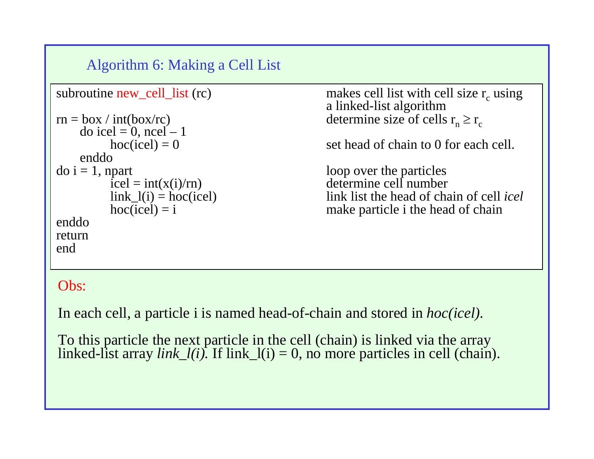Algorithm 6: Making a Cell List

```
subroutine new_cell_list (rc) makes cell list with cell size r_c using a linked-list algorithm
rn = box / int(box/rc) determine size of cells r_n \ge r_c\text{do} icel = 0, ncel - 1
        hoc(ice) = 0 set head of chain to 0 for each cell.
   enddo\text{do } i = 1, npart loop over the particles
        \text{icel} = \text{int}(x(i)/rn) determine cell number
        link_l(i) = hoc(icel) link list the head of chain of cell icel
        hoc(ice) = i make particle i the head of chain
enddoreturnend
```
## Obs:

In each cell, a particle i is named head-of-chain and stored in *hoc(icel).*

To this particle the next particle in the cell (chain) is linked via the array linked-list array *link\_l(i)*. If link\_l(i) = 0, no more particles in cell (chain).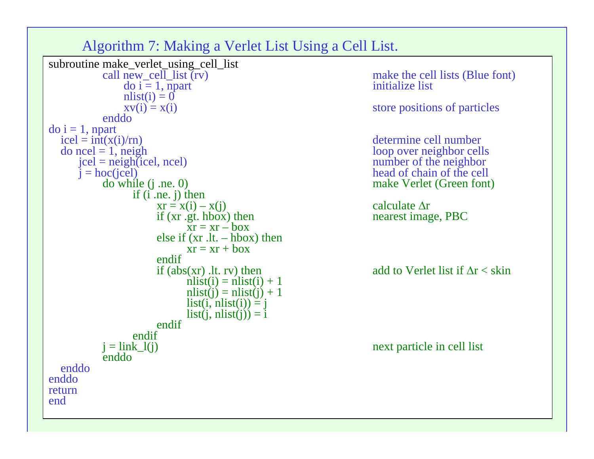Algorithm 7: Making a Verlet List Using a Cell List.



make the cell lists (Blue font)

determine cell number make Verlet (Green font)

Ar

add to Verlet list if  $\Delta r <$  skin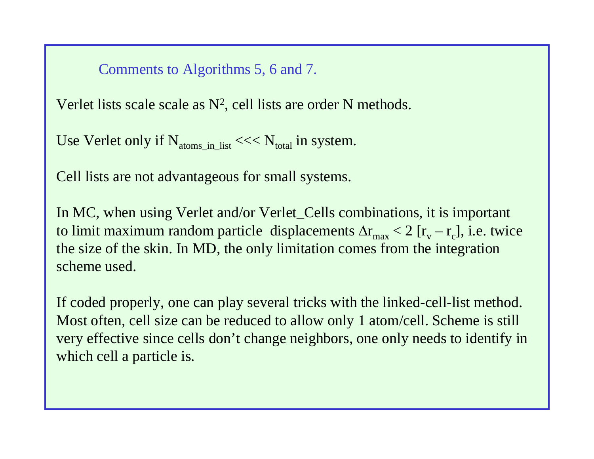### Comments to Algorithms 5, 6 and 7.

Verlet lists scale scale as  $N^2$ , cell lists are order N methods.

Use Verlet only if  $N_{\text{atoms}}$  in list <<<  $N_{\text{total}}$  in system.

Cell lists are not advantageous for small systems.

In MC, when using Verlet and/or Verlet\_Cells combinations, it is important to limit maximum random particle displacements  $\Delta r_{\rm max} < 2$  [ $r_{\rm v} - r_{\rm c}$ ], i.e. twice the size of the skin. In MD, the only limitation comes from the integration scheme used.

If coded properly, one can play several tricks with the linked-cell-list method. Most often, cell size can be reduced to allow only 1 atom/cell. Scheme is still very effective since cells don't change neighbors, one only needs to identify in which cell a particle is.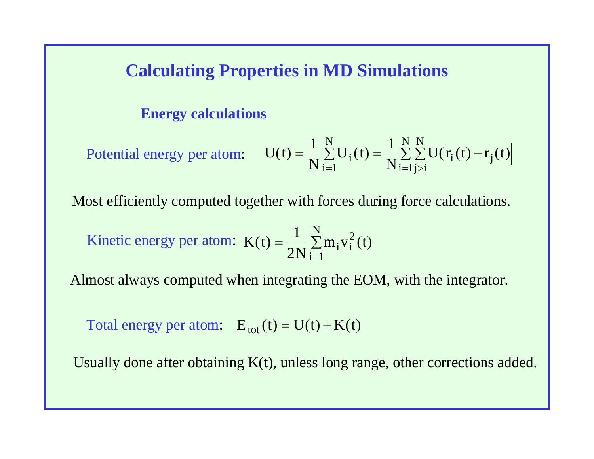# **Calculating Properties in MD Simulations**

#### **Energy calculations**

Potential energy per atom: 
$$
U(t) = \frac{1}{N} \sum_{i=1}^{N} U_i(t) = \frac{1}{N} \sum_{i=1}^{N} \sum_{j>i}^{N} U(|r_i(t) - r_j(t)|
$$

Most efficiently computed together with forces during force calculations.

Kinetic energy per atom: 
$$
K(t) = \frac{1}{2N} \sum_{i=1}^{N} m_i v_i^2(t)
$$

Almost always computed when integrating the EOM, with the integrator.

Total energy per atom:  $E_{\text{tot}}(t) = U(t) + K(t)$ 

Usually done after obtaining K(t), unless long range, other corrections added.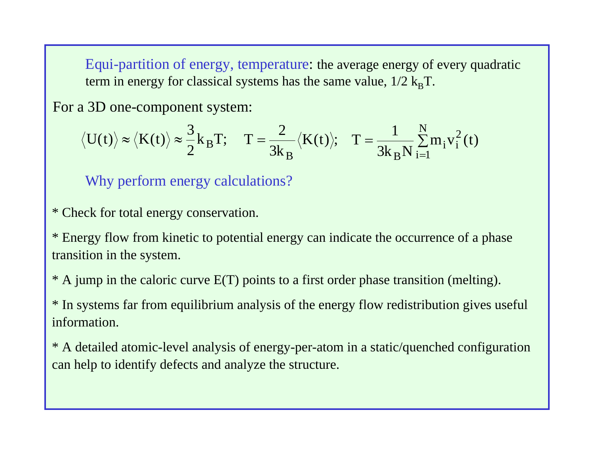Equi-partition of energy, temperature: the average energy of every quadratic term in energy for classical systems has the same value,  $1/2$   $k_B T$ .

For a 3D one-component system:

$$
\langle U(t) \rangle \approx \langle K(t) \rangle \approx \frac{3}{2} k_B T; \quad T = \frac{2}{3k_B} \langle K(t) \rangle; \quad T = \frac{1}{3k_B N} \sum_{i=1}^{N} m_i v_i^2(t)
$$

Why perform energy calculations?

\* Check for total energy conservation.

\* Energy flow from kinetic to potential energy can indicate the occurrence of a phase transition in the system.

\* A jump in the caloric curve E(T) points to a first order phase transition (melting).

\* In systems far from equilibrium analysis of the energy flow redistribution gives useful information.

\* A detailed atomic-level analysis of energy-per-atom in a static/quenched configuration can help to identify defects and analyze the structure.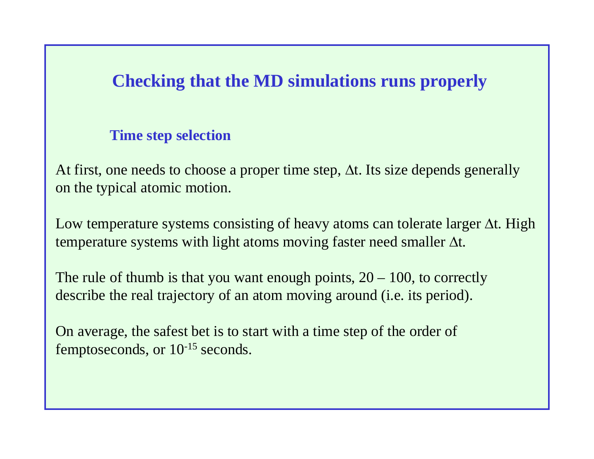# **Checking that the MD simulations runs properly**

## **Time step selection**

At first, one needs to choose a proper time step,  $\Delta t$ . Its size depends generally on the typical atomic motion.

Low temperature systems consisting of heavy atoms can tolerate larger  $\Delta t$ . High temperature systems with light atoms moving faster need smaller  $\Delta t$ .

The rule of thumb is that you want enough points, 20 – 100, to correctly describe the real trajectory of an atom moving around (i.e. its period).

On average, the safest bet is to start with a time step of the order of femptoseconds, or 10-15 seconds.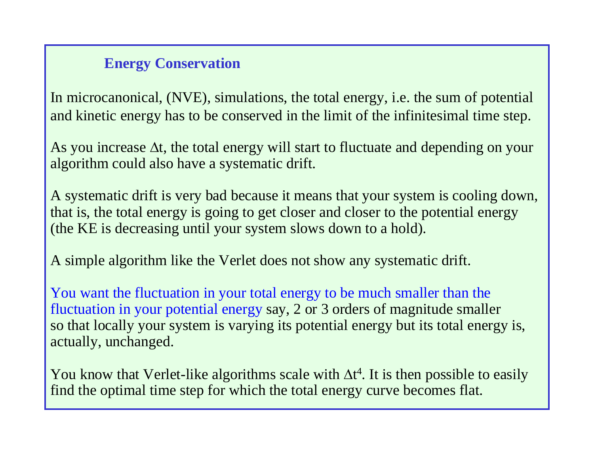## **Energy Conservation**

In microcanonical, (NVE), simulations, the total energy, i.e. the sum of potential and kinetic energy has to be conserved in the limit of the infinitesimal time step.

As you increase  $\Delta t$ , the total energy will start to fluctuate and depending on your algorithm could also have a systematic drift.

A systematic drift is very bad because it means that your system is cooling down, that is, the total energy is going to get closer and closer to the potential energy (the KE is decreasing until your system slows down to a hold).

A simple algorithm like the Verlet does not show any systematic drift.

You want the fluctuation in your total energy to be much smaller than the fluctuation in your potential energy say, 2 or 3 orders of magnitude smaller so that locally your system is varying its potential energy but its total energy is, actually, unchanged.

You know that Verlet-like algorithms scale with  $\Delta t^4$ . It is then possible to easily find the optimal time step for which the total energy curve becomes flat.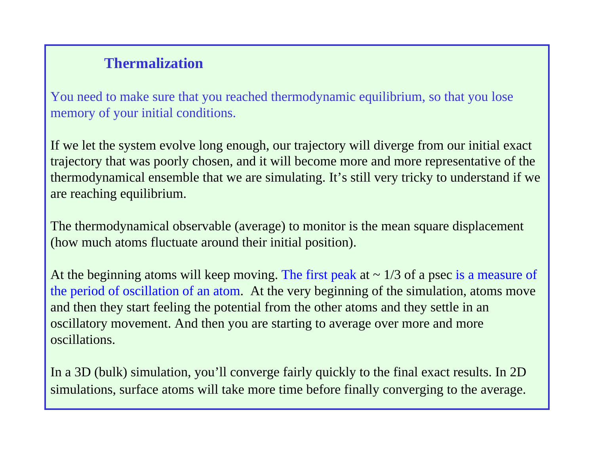## **Thermalization**

You need to make sure that you reached thermodynamic equilibrium, so that you lose memory of your initial conditions.

If we let the system evolve long enough, our trajectory will diverge from our initial exact trajectory that was poorly chosen, and it will become more and more representative of the thermodynamical ensemble that we are simulating. It's still very tricky to understand if we are reaching equilibrium.

The thermodynamical observable (average) to monitor is the mean square displacement (how much atoms fluctuate around their initial position).

At the beginning atoms will keep moving. The first peak at  $\sim 1/3$  of a psec is a measure of the period of oscillation of an atom. At the very beginning of the simulation, atoms move and then they start feeling the potential from the other atoms and they settle in an oscillatory movement. And then you are starting to average over more and more oscillations.

In a 3D (bulk) simulation, you'll converge fairly quickly to the final exact results. In 2D simulations, surface atoms will take more time before finally converging to the average.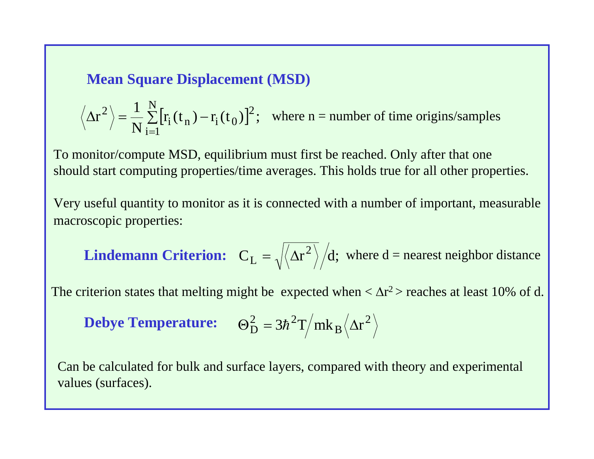### **Mean Square Displacement (MSD)**

$$
\langle \Delta r^2 \rangle = \frac{1}{N} \sum_{i=1}^{N} [r_i(t_n) - r_i(t_0)]^2
$$
; where n = number of time origins/samples

To monitor/compute MSD, equilibrium must first be reached. Only after that one should start computing properties/time averages. This holds true for all other properties.

Very useful quantity to monitor as it is connected with a number of important, measurable macroscopic properties:

**Lindemann Criterion:** 
$$
C_L = \sqrt{\langle \Delta r^2 \rangle}/d
$$
; where d = nearest neighbor distance

The criterion states that melting might be expected when  $<\Delta r^2$  reaches at least 10% of d.

**Debye Temperature:** 
$$
\Theta_{\rm D}^2 = 3\hbar^2 T / m k_B \langle \Delta r^2 \rangle
$$

Can be calculated for bulk and surface layers, compared with theory and experimental values (surfaces).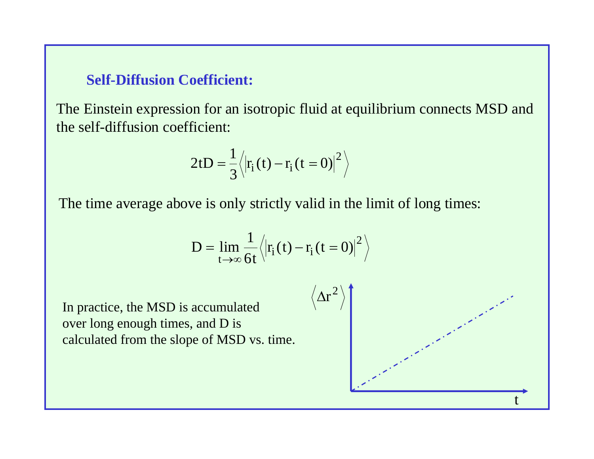#### **Self-Diffusion Coefficient:**

The Einstein expression for an isotropic fluid at equilibrium connects MSD and the self-diffusion coefficient:

$$
2tD = \frac{1}{3} \langle \left| \mathbf{r}_i(t) - \mathbf{r}_i(t=0) \right|^2 \rangle
$$

The time average above is only strictly valid in the limit of long times:

$$
D = \lim_{t \to \infty} \frac{1}{6t} \langle |r_{i}(t) - r_{i}(t=0)|^{2} \rangle
$$

In practice, the MSD is accumulated over long enough times, and D is calculated from the slope of MSD vs. time.

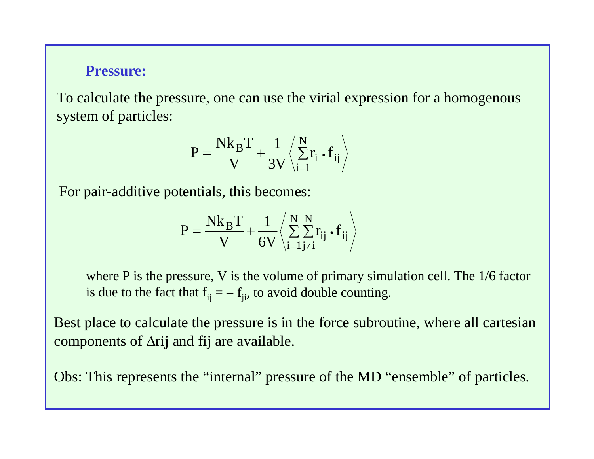#### **Pressure:**

To calculate the pressure, one can use the virial expression for a homogenous system of particles:

$$
P = \frac{Nk_B T}{V} + \frac{1}{3V} \left\langle \sum_{i=1}^{N} r_i \cdot f_{ij} \right\rangle
$$

For pair-additive potentials, this becomes:

$$
P = \frac{Nk_B T}{V} + \frac{1}{6V} \left\langle \sum_{i=1}^{N} \sum_{j \neq i}^{N} r_{ij} \cdot f_{ij} \right\rangle
$$

where P is the pressure, V is the volume of primary simulation cell. The 1/6 factor is due to the fact that  $f_{ii} = -f_{ii}$ , to avoid double counting.

Best place to calculate the pressure is in the force subroutine, where all cartesian components of  $\Delta$ rij and fij are available.

Obs: This represents the "internal" pressure of the MD "ensemble" of particles.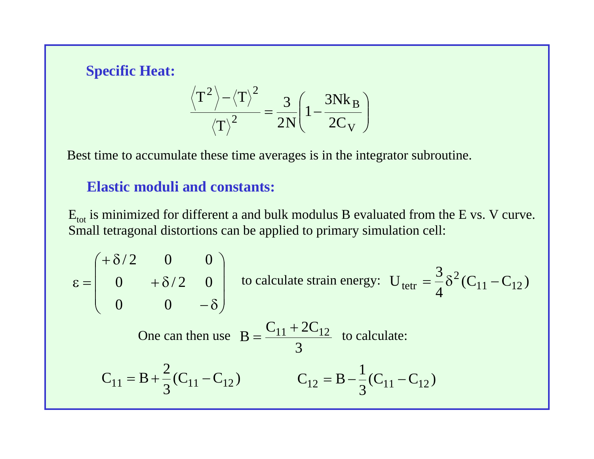## **Specific Heat:**

$$
\frac{T^2}{\left\langle T\right\rangle^2} = \frac{3}{2N} \left(1 - \frac{3Nk_B}{2C_V}\right)
$$

Best time to accumulate these time averages is in the integrator subroutine.

## **Elastic moduli and constants:**

 $E_{\text{tot}}$  is minimized for different a and bulk modulus B evaluated from the E vs. V curve. Small tetragonal distortions can be applied to primary simulation cell:

$$
\varepsilon = \begin{pmatrix}\n+ \delta/2 & 0 & 0 \\
0 & + \delta/2 & 0 \\
0 & 0 & -\delta\n\end{pmatrix}
$$
 to calculate strain energy:  $U_{\text{tetr}} = \frac{3}{4} \delta^2 (C_{11} - C_{12})$   
One can then use  $B = \frac{C_{11} + 2C_{12}}{3}$  to calculate:  
 $C_{11} = B + \frac{2}{3} (C_{11} - C_{12})$   $C_{12} = B - \frac{1}{3} (C_{11} - C_{12})$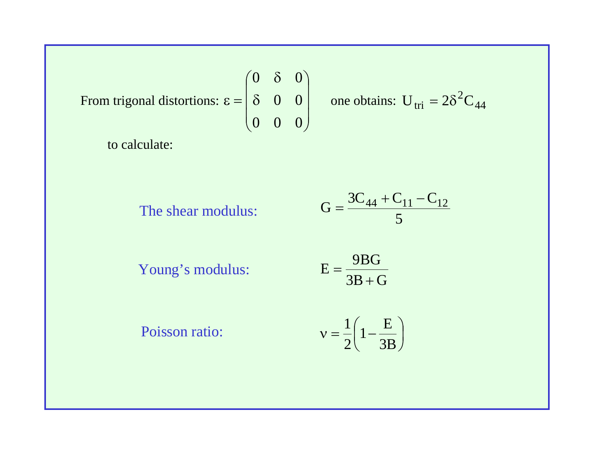From trigonal distortions: 
$$
\varepsilon = \begin{pmatrix} 0 & \delta & 0 \\ \delta & 0 & 0 \\ 0 & 0 & 0 \end{pmatrix}
$$

 $\begin{bmatrix} 0 & \delta & 0 \\ \delta & 0 & 0 \end{bmatrix}$  one obtains:  $U_{\text{tri}} = 2\delta^2 C_{44}$ 

to calculate:

The shear modulus: 5 $G = \frac{3C_{44} + C_{11} - C_{12}}{2}$ 

Young's modulus:

 $3\mathrm{B} + \mathrm{G}$ 9BG $E = \frac{1}{3B+1}$  $=$ 

Poisson ratio:

$$
v = \frac{1}{2} \left( 1 - \frac{E}{3B} \right)
$$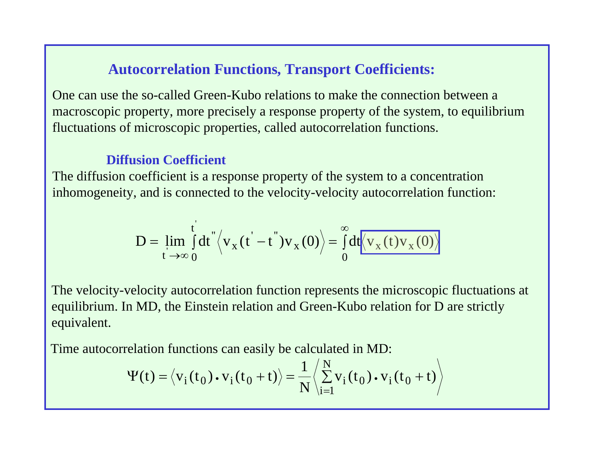## **Autocorrelation Functions, Transport Coefficients:**

One can use the so-called Green-Kubo relations to make the connection between a macroscopic property, more precisely a response property of the system, to equilibrium fluctuations of microscopic properties, called autocorrelation functions.

#### **Diffusion Coefficient**

The diffusion coefficient is a response property of the system to a concentration inhomogeneity, and is connected to the velocity-velocity autocorrelation function:

$$
D = \lim_{t \to \infty} \int_0^t dt \sqrt{\left\langle v_x(t' - t'')v_x(0) \right\rangle} = \int_0^\infty dt \sqrt{\left\langle v_x(t)v_x(0) \right\rangle}
$$

The velocity-velocity autocorrelation function represents the microscopic fluctuations at equilibrium. In MD, the Einstein relation and Green-Kubo relation for D are strictly equivalent.

Time autocorrelation functions can easily be calculated in MD:

$$
\Psi(t) = \langle v_i(t_0) \cdot v_i(t_0 + t) \rangle = \frac{1}{N} \langle \sum_{i=1}^{N} v_i(t_0) \cdot v_i(t_0 + t) \rangle
$$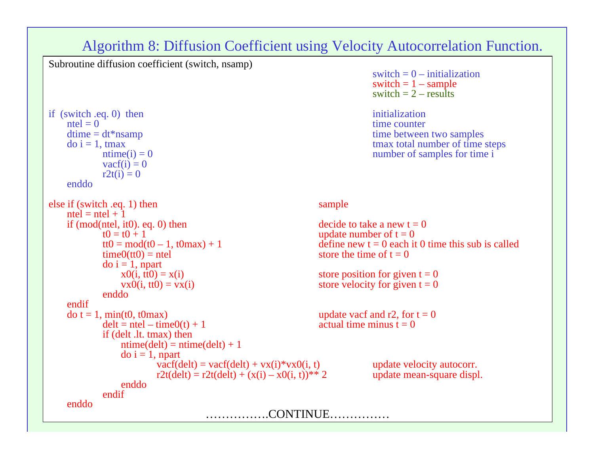#### Algorithm 8: Diffusion Coefficient using Velocity Autocorrelation Function.

Subroutine diffusion coefficient (switch, nsamp)

if (switch .eq. 0) then initialization  $\text{ntel} = 0$  time counter dtime = dt\*nsamp<br>  $\text{div} = 1$ , tmax<br>  $\text{div} = 1$ , tmax  $t$ max  $t$  tmax total number of time steps<br>  $t$  max total number of time steps<br>  $t$  number of samples for time i  $\text{vacf}(i) = 0$  $r2t(i) = 0$ enddoelse if (switch .eq. 1) then sample  $ntel = ntel + 1$ if (mod(ntel, it0). eq. 0) then decide to take a new  $t = 0$ <br> $t0 = t0 + 1$  undate number of  $t = 0$  $t0 = t0 + 1$ <br>  $t0 = mod(t0 - 1, t0max) + 1$ <br>
update number of  $t = 0$ <br>
define new  $t = 0$  each if  $time0(tt0) = net$  store the time of  $t = 0$ do i = 1, npart<br> $x0(i, t0) = x(i)$  $x0(i, \text{ } it0) = x(i)$ <br>  $vx0(i, \text{ } tt0) = vx(i)$ <br>  $x80(ii, \text{ } tt0) = vx(i)$ <br>  $x80(i, \text{ } tt0) = 0$ <br>  $x80(i, \text{ } tt0) = 0$ enddoendif $\text{do } t = 1, \min(t0, t0\text{max})$ <br>  $\text{delta } t = \text{ntel} - \text{time}(0(t) + 1)$ <br>  $\text{actual time minus } t = 0$  $delt = ntel - time0(t) + 1$ if (delt .lt. tmax) then  $ntime(det) = ntime(det) + 1$  $d$ o i = 1, npart vacf(delt) = vacf(delt) + vx(i)\*vx0(i, t) update velocity autocorr.<br>r2t(delt) = r2t(delt) + (x(i) - x0(i, t))\*\* 2 update mean-square displ.  $r2t(dett) = r2t(dett) + (x(i) - x0(i, t))^{**}$  2 enddoendifenddo $\ldots$  CONTINUE.

switch  $= 0 -$  initialization switch  $= 1 -$  sample switch  $= 2 - \text{results}$ 

number of samples for time i

```
define new t = 0 each it 0 time this sub is called
```
store velocity for given  $t = 0$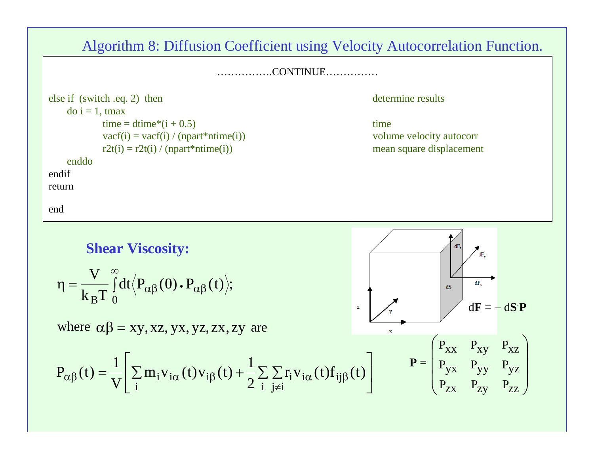Algorithm 8: Diffusion Coefficient using Velocity Autocorrelation Function.

…………….CONTINUE……………

else if (switch .eq. 2) then determine results  $d$ o i = 1, tmax  $time = dtime*(i + 0.5)$  time  $\text{vacf}(i) = \text{vacf}(i) / (\text{npart}^* \text{ntime}(i))$  volume velocity autocorr  $r2t(i) = r2t(i) / (npart*ntime(i))$  mean square displacement enddoendifreturnend

**Shear Viscosity:** V  $\infty$  $\eta = \frac{1}{1-\pi} \int$  $\frac{1}{\rm k_BT}\int\limits_0^{\rm d}t\langle P_{\alpha\beta}(0)\centerdot P_{\alpha\beta}(t)\rangle;$ dF<sub>v</sub>  $\alpha\beta$  (V) •  $\Gamma\alpha\beta$  $d\mathbf{F} = -d\mathbf{S}\cdot\mathbf{P}$ where  $\alpha\beta = xy, xz, yx, yz, zx, zy$  are  $\mathbf x$  $\bigg($  $\bigg)$  $P_{XX}$   $P_{XY}$   $P_{XZ}$   $\left[\sum m_{i}v_{i\alpha}(t)v_{i\beta}(t)+\frac{1}{2}\sum\sum r_{i}v_{i\alpha}(t)f_{i\beta}(t)\right]$  $\sqrt{2}$ 11 $\mathbf{P} =$  $\overline{\phantom{a}}$ P PP $\mathbf{v}_{\alpha\beta}(t) = \frac{1}{V} \left| \sum_{i} m_i v_{i\alpha}(t) v_{i\beta}(t) + \frac{1}{2} \sum_{i} \sum_{j \neq i} r_i v_{i\alpha}(t) f_{ij\beta}(t) \right|$  $P_{\alpha\beta}(t) = \frac{1}{V} \left[ \sum_i m_i v_{i\alpha}(t) v_{i\beta}(t) + \frac{1}{2} \sum_i \sum_{i} r_i v_{i\alpha}(t) f_{ij\beta}(t) \right]$  [  $\left[ \sum_{p} v_{i\beta}(t) - \sum_{p} v_{i\beta}(t) \right]$  $=\frac{1}{\sqrt{2}}\left|\sum_{i} m_{i} v_{i}(\tau) v_{i}(\tau)\right|+\frac{1}{\sqrt{2}}\sum_{i} m_{i} \left|\sum_{i} m_{i}(\tau)\right|$  $\mathbf{m}_{i}\mathbf{v}_{i\alpha}(t)\mathbf{v}_{i\beta}(t)+\mathbf{v}_{i\beta}(t)$  $\overline{\phantom{a}}$  yx yy yz V  $\overline{\phantom{a}}$   $\setminus$  $P_{ZX}$   $P_{ZY}$   $P_{ZZ}$  $\int$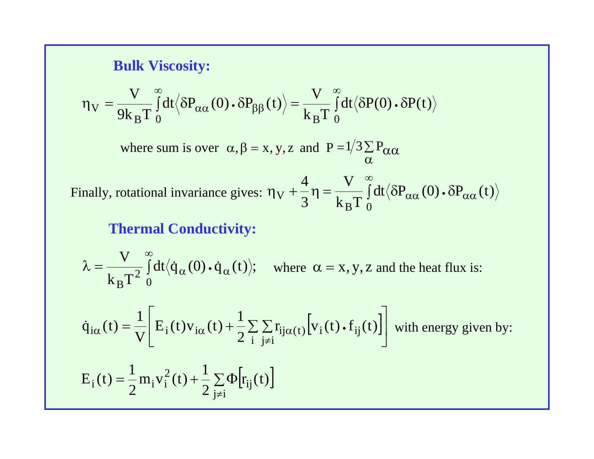#### **Bulk Viscosity:**

$$
\eta_V = \frac{V}{9k_BT} \int_0^\infty dt \langle \delta P_{\alpha\alpha}(0) \cdot \delta P_{\beta\beta}(t) \rangle = \frac{V}{k_BT} \int_0^\infty dt \langle \delta P(0) \cdot \delta P(t) \rangle
$$

where sum is over  $\alpha, \beta = x, y, z$  and  $P = 1/3 \sum P_{\alpha\alpha}$  $\alpha$ 

 $\eta_V + \frac{1}{2} \eta = \frac{1}{1-\pi} \int dt \langle \delta P_{\alpha\alpha}(0) \cdot \delta$  $\infty$  $\alpha\alpha\left(\mathsf{U}\right)\bullet\mathsf{U}\mathsf{I}_{\alpha\alpha}$ B 1 0 VFinally, rotational invariance gives:  $\eta_V + \frac{4}{3}\eta = \frac{V}{k_B T}\int_{0}^{\infty} dt \langle \delta P_{\alpha\alpha}(0) \cdot \delta P_{\alpha\alpha}(t) \rangle$ 

## **Thermal Conductivity:**

 $\lambda = \frac{1}{\sqrt{2}} \int$  $\infty$  $\alpha$  ( $\vee$ ) • Ч $\alpha$ 0 $\mathrm{_{B}T}^2$  $\mathrm{dt}\langle \dot{\mathrm{q}}_{\alpha}\left(0\right)\centerdot \dot{\mathrm{q}}_{\alpha}\left(\mathrm{t}\right)\rangle;$  $\rm k_{\scriptscriptstyle R}T$  $\frac{V}{\sqrt{2}} \int_{-\infty}^{\infty} dt \langle \dot{q}_{\alpha}(0) \cdot \dot{q}_{\alpha}(t) \rangle$ ; where  $\alpha = x, y, z$  and the heat flux is:

$$
\dot{q}_{i\alpha}(t) = \frac{1}{V} \left[ E_i(t) v_{i\alpha}(t) + \frac{1}{2} \sum_{i} \sum_{j \neq i} r_{ij\alpha(t)} \left[ v_i(t) \cdot f_{ij}(t) \right] \right]
$$
 with energy given by:  
\n
$$
E_i(t) = \frac{1}{2} m_i v_i^2(t) + \frac{1}{2} \sum_{j \neq i} \Phi[r_{ij}(t)]
$$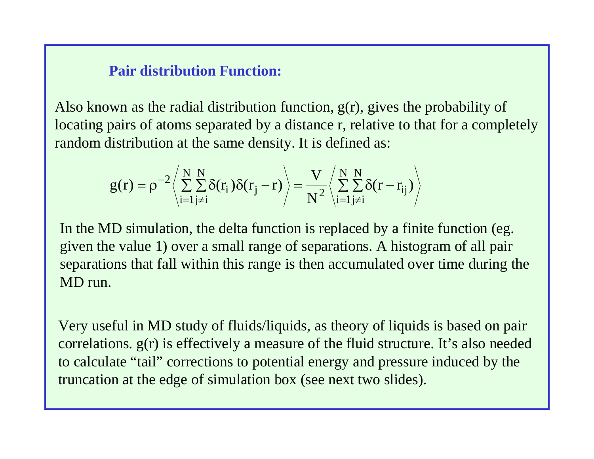## **Pair distribution Function:**

Also known as the radial distribution function,  $g(r)$ , gives the probability of locating pairs of atoms separated by a distance r, relative to that for a completely random distribution at the same density. It is defined as:

$$
g(r) = \rho^{-2} \left\langle \sum_{i=1}^{N} \sum_{j \neq i}^{N} \delta(r_i) \delta(r_j - r) \right\rangle = \frac{V}{N^2} \left\langle \sum_{i=1}^{N} \sum_{j \neq i}^{N} \delta(r - r_{ij}) \right\rangle
$$

In the MD simulation, the delta function is replaced by a finite function (eg. given the value 1) over a small range of separations. A histogram of all pair separations that fall within this range is then accumulated over time during the MD run.

Very useful in MD study of fluids/liquids, as theory of liquids is based on pair correlations. g(r) is effectively a measure of the fluid structure. It's also needed to calculate "tail" corrections to potential energy and pressure induced by the truncation at the edge of simulation box (see next two slides).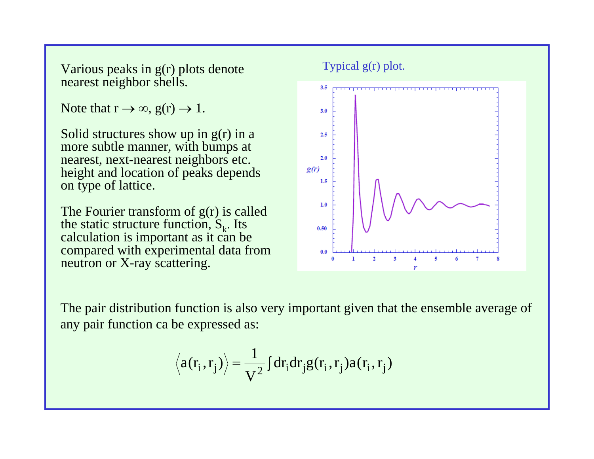Various peaks in g(r) plots denote nearest neighbor shells.

Note that  $r \to \infty$ ,  $g(r) \to 1$ .

Solid structures show up in  $g(r)$  in a more subtle manner, with bumps at nearest, next-nearest neighbors etc. height and location of peaks depends on type of lattice.

The Fourier transform of  $g(r)$  is called the static structure function,  $S_k$ . Its calculation is important as it can be compared with experimental data from neutron or X-ray scattering.



The pair distribution function is also very important given that the ensemble average of any pair function ca be expressed as:

$$
\langle a(r_i, r_j) \rangle = \frac{1}{V^2} \int dr_i dr_j g(r_i, r_j) a(r_i, r_j)
$$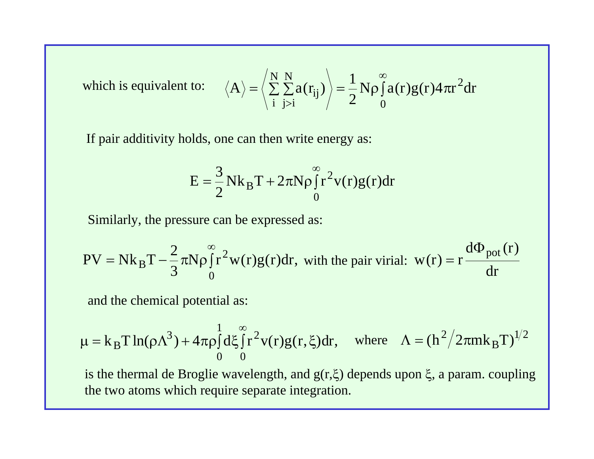which is equivalent to:

$$
\therefore \langle A \rangle = \left\langle \sum_{i}^{N} \sum_{j>i}^{N} a(r_{ij}) \right\rangle = \frac{1}{2} N \rho \int_{0}^{\infty} a(r) g(r) 4 \pi r^{2} dr
$$

If pair additivity holds, one can then write energy as:

$$
E = \frac{3}{2} N k_B T + 2\pi N \rho \int_0^\infty r^2 v(r)g(r) dr
$$

Similarly, the pressure can be expressed as:

N $PV = Nk_B T - \frac{2}{3} \pi N \rho \int_0^{\infty} r^2 w(r) g(r) dr$ , with the pair virial:  $w(r) = r \frac{d\Phi_{pot}(r)}{dr}$ 

and the chemical potential as:

$$
\mu = k_B T \ln(\rho \Lambda^3) + 4\pi \rho \int_0^1 d\xi \int_0^\infty r^2 v(r) g(r, \xi) dr, \quad \text{where} \quad \Lambda = (h^2 / 2\pi m k_B T)^{1/2}
$$

is the thermal de Broglie wavelength, and  $g(r,\xi)$  depends upon  $\xi$ , a param. coupling the two atoms which require separate integration.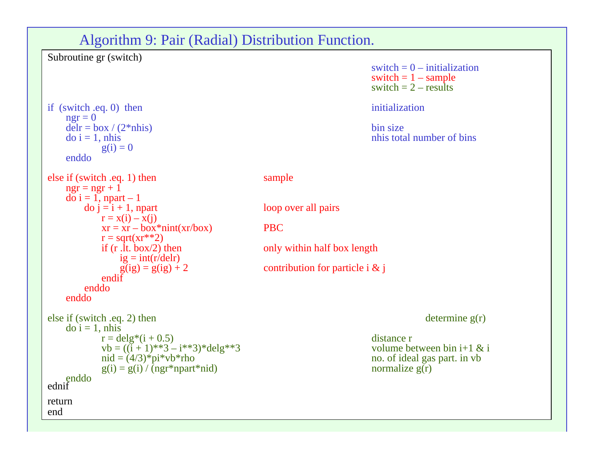#### Algorithm 9: Pair (Radial) Distribution Function.

```
if (switch .eq. 0) then initialization
   ngr = 0delr = box / (2*nhis) bin size
    \phi i = 1, nhis nhis total number of bins
           g(i) = 0enddoelse if (switch .eq. 1) then sample
   ngr = ngr + 1d\overrightarrow{o} i = 1, npart – 1<br>d\overrightarrow{o} j = i + 1, npart
           r = x(i) - x(j)xr = xr - box*nint(xr/box) PBC
           r = sqrt(xr**2)<br>if (r.d. box/2) then
               ig = int(r/delr)<br>g(ig) = g(ig) + 2
           endifenddoenddoelse if (switch .eq. 2) then determine g(r)
    do i = 1, nhis
           r = \text{delay}^*(i + 0.5)<br>
v = ((i + 1)^{**3} - i^{**3})^* \text{delay}^*<br>
v = (6 + 1)^{**3} - i^{**3} \text{delay}^*vb = ((i + 1)**3 - i**3)*delg**3<br>nid = (4/3)*pi*vb*rhog(i) = g(i) / \overline{(ngr*nnart*nid)}enddo
ednif
returnend
```
Subroutine gr (switch)

switch  $= 0 -$  initialization switch  $= 1 -$  sample switch  $= 2 - \text{results}$ 

loop over all pairs

only within half box length

contribution for particle i  $&$  j

no. of ideal gas part. in vb normalize  $g(r)$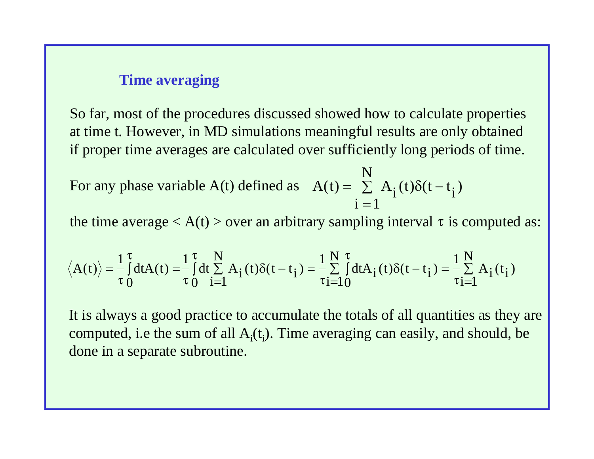#### **Time averaging**

So far, most of the procedures discussed showed how to calculate properties at time t. However, in MD simulations meaningful results are only obtained if proper time averages are calculated over sufficiently long periods of time.

For any phase variable A(t) defined as  $A(t) = \sum A_i(t)\delta(t$  $i = 1$  $A(t) = \sum_{i=1}^{N} A_i(t)\delta(t - t_i)$ 

the time average  $\langle A(t) \rangle$  over an arbitrary sampling interval  $\tau$  is computed as:

$$
\left\langle A(t)\right\rangle=\frac{1}{\tau}\smallint_{0}^{\tau}dt A(t) =\frac{1}{\tau}\smallint_{0}^{\tau}dt \sum_{i=1}^{N}A_{i}(t)\delta(t-t_{i})=\frac{1}{\tau}\sum_{i=1}^{N}\smallint_{0}^{\tau}dt A_{i}(t)\delta(t-t_{i})=\frac{1}{\tau}\sum_{i=1}^{N}A_{i}(t_{i})
$$

It is always a good practice to accumulate the totals of all quantities as they are computed, i.e the sum of all  $A_i(t)$ . Time averaging can easily, and should, be done in a separate subroutine.